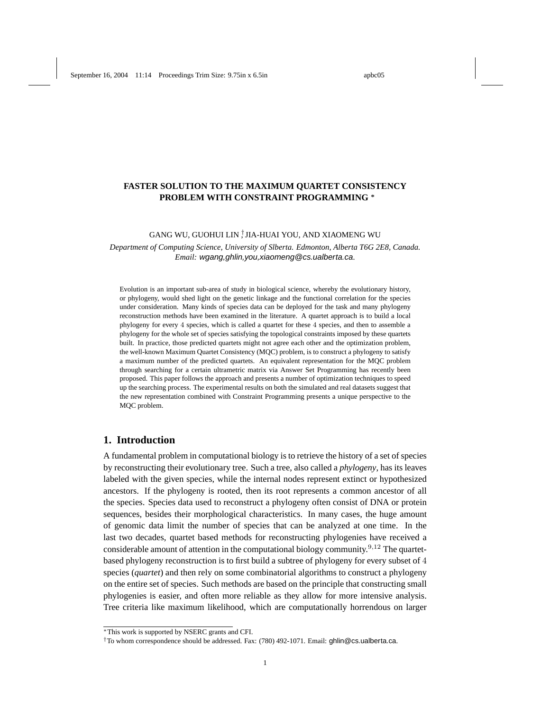# **FASTER SOLUTION TO THE MAXIMUM QUARTET CONSISTENCY PROBLEM WITH CONSTRAINT PROGRAMMING** <sup>∗</sup>

# GANG WU, GUOHUI LIN <sup>†</sup> JIA-HUAI YOU, AND XIAOMENG WU

*Department of Computing Science, University of Slberta. Edmonton, Alberta T6G 2E8, Canada. Email:* wgang,ghlin,you,xiaomeng@cs.ualberta.ca*.*

Evolution is an important sub-area of study in biological science, whereby the evolutionary history, or phylogeny, would shed light on the genetic linkage and the functional correlation for the species under consideration. Many kinds of species data can be deployed for the task and many phylogeny reconstruction methods have been examined in the literature. A quartet approach is to build a local phylogeny for every 4 species, which is called a quartet for these 4 species, and then to assemble a phylogeny for the whole set of species satisfying the topological constraints imposed by these quartets built. In practice, those predicted quartets might not agree each other and the optimization problem, the well-known Maximum Quartet Consistency (MQC) problem, is to construct a phylogeny to satisfy a maximum number of the predicted quartets. An equivalent representation for the MQC problem through searching for a certain ultrametric matrix via Answer Set Programming has recently been proposed. This paper follows the approach and presents a number of optimization techniques to speed up the searching process. The experimental results on both the simulated and real datasets suggest that the new representation combined with Constraint Programming presents a unique perspective to the MQC problem.

# **1. Introduction**

A fundamental problem in computational biology is to retrieve the history of a set of species by reconstructing their evolutionary tree. Such a tree, also called a *phylogeny*, has its leaves labeled with the given species, while the internal nodes represent extinct or hypothesized ancestors. If the phylogeny is rooted, then its root represents a common ancestor of all the species. Species data used to reconstruct a phylogeny often consist of DNA or protein sequences, besides their morphological characteristics. In many cases, the huge amount of genomic data limit the number of species that can be analyzed at one time. In the last two decades, quartet based methods for reconstructing phylogenies have received a considerable amount of attention in the computational biology community.<sup>9,12</sup> The quartetbased phylogeny reconstruction is to first build a subtree of phylogeny for every subset of 4 species (*quartet*) and then rely on some combinatorial algorithms to construct a phylogeny on the entire set of species. Such methods are based on the principle that constructing small phylogenies is easier, and often more reliable as they allow for more intensive analysis. Tree criteria like maximum likelihood, which are computationally horrendous on larger

<sup>∗</sup>This work is supported by NSERC grants and CFI.

<sup>†</sup>To whom correspondence should be addressed. Fax: (780) 492-1071. Email: ghlin@cs.ualberta.ca.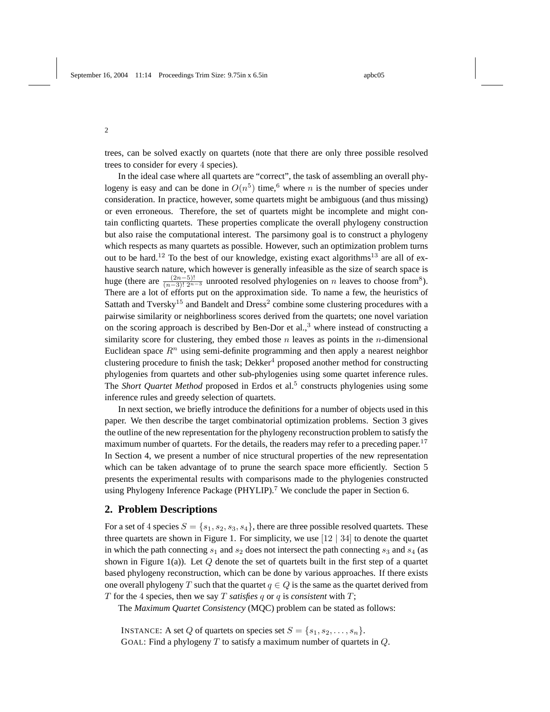trees, can be solved exactly on quartets (note that there are only three possible resolved trees to consider for every 4 species).

In the ideal case where all quartets are "correct", the task of assembling an overall phylogeny is easy and can be done in  $O(n^5)$  time, <sup>6</sup> where n is the number of species under consideration. In practice, however, some quartets might be ambiguous (and thus missing) or even erroneous. Therefore, the set of quartets might be incomplete and might contain conflicting quartets. These properties complicate the overall phylogeny construction but also raise the computational interest. The parsimony goal is to construct a phylogeny which respects as many quartets as possible. However, such an optimization problem turns out to be hard.<sup>12</sup> To the best of our knowledge, existing exact algorithms<sup>13</sup> are all of exhaustive search nature, which however is generally infeasible as the size of search space is huge (there are  $\frac{(2n-5)!}{(n-3)! \cdot 2^{n-3}}$  unrooted resolved phylogenies on n leaves to choose from<sup>8</sup>). There are a lot of efforts put on the approximation side. To name a few, the heuristics of Sattath and Tversky<sup>15</sup> and Bandelt and Dress<sup>2</sup> combine some clustering procedures with a pairwise similarity or neighborliness scores derived from the quartets; one novel variation on the scoring approach is described by Ben-Dor et al., $3$  where instead of constructing a similarity score for clustering, they embed those  $n$  leaves as points in the *n*-dimensional Euclidean space  $R^n$  using semi-definite programming and then apply a nearest neighbor clustering procedure to finish the task; Dekker<sup>4</sup> proposed another method for constructing phylogenies from quartets and other sub-phylogenies using some quartet inference rules. The *Short Quartet Method* proposed in Erdos et al.<sup>5</sup> constructs phylogenies using some inference rules and greedy selection of quartets.

In next section, we briefly introduce the definitions for a number of objects used in this paper. We then describe the target combinatorial optimization problems. Section 3 gives the outline of the new representation for the phylogeny reconstruction problem to satisfy the maximum number of quartets. For the details, the readers may refer to a preceding paper.<sup>17</sup> In Section 4, we present a number of nice structural properties of the new representation which can be taken advantage of to prune the search space more efficiently. Section 5 presents the experimental results with comparisons made to the phylogenies constructed using Phylogeny Inference Package (PHYLIP).<sup>7</sup> We conclude the paper in Section 6.

# **2. Problem Descriptions**

For a set of 4 species  $S = \{s_1, s_2, s_3, s_4\}$ , there are three possible resolved quartets. These three quartets are shown in Figure 1. For simplicity, we use [12 | 34] to denote the quartet in which the path connecting  $s_1$  and  $s_2$  does not intersect the path connecting  $s_3$  and  $s_4$  (as shown in Figure 1(a)). Let  $Q$  denote the set of quartets built in the first step of a quartet based phylogeny reconstruction, which can be done by various approaches. If there exists one overall phylogeny T such that the quartet  $q \in Q$  is the same as the quartet derived from T for the 4 species, then we say T *satisfies*  $q$  or  $q$  is *consistent* with  $T$ ;

The *Maximum Quartet Consistency* (MQC) problem can be stated as follows:

INSTANCE: A set Q of quartets on species set  $S = \{s_1, s_2, \ldots, s_n\}.$ 

GOAL: Find a phylogeny  $T$  to satisfy a maximum number of quartets in  $Q$ .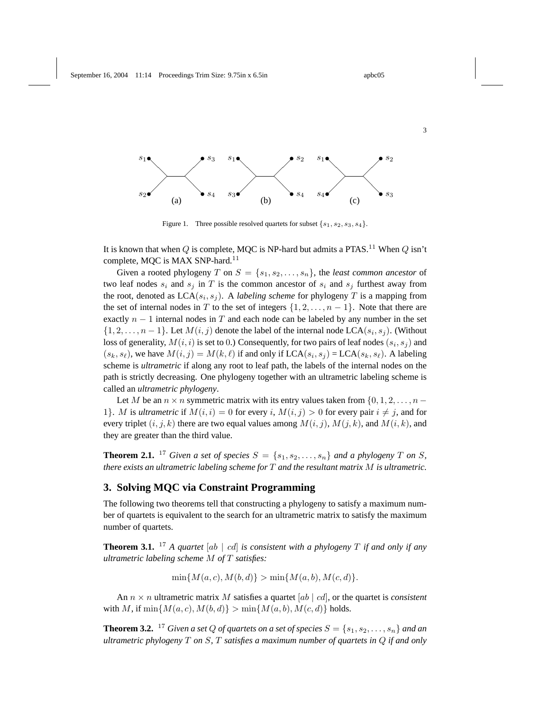



Figure 1. Three possible resolved quartets for subset  $\{s_1, s_2, s_3, s_4\}$ .

It is known that when Q is complete, MQC is NP-hard but admits a PTAS.<sup>11</sup> When Q isn't complete, MQC is MAX SNP-hard.<sup>11</sup>

Given a rooted phylogeny T on  $S = \{s_1, s_2, \ldots, s_n\}$ , the *least common ancestor* of two leaf nodes  $s_i$  and  $s_j$  in T is the common ancestor of  $s_i$  and  $s_j$  furthest away from the root, denoted as  $LCA(s_i, s_j)$ . A *labeling scheme* for phylogeny T is a mapping from the set of internal nodes in T to the set of integers  $\{1, 2, \ldots, n-1\}$ . Note that there are exactly  $n - 1$  internal nodes in T and each node can be labeled by any number in the set  $\{1, 2, \ldots, n-1\}$ . Let  $M(i, j)$  denote the label of the internal node LCA $(s_i, s_j)$ . (Without loss of generality,  $M(i, i)$  is set to 0.) Consequently, for two pairs of leaf nodes  $(s_i, s_j)$  and  $(s_k, s_\ell)$ , we have  $M(i, j) = M(k, \ell)$  if and only if  $LCA(s_i, s_j) = LCA(s_k, s_\ell)$ . A labeling scheme is *ultrametric* if along any root to leaf path, the labels of the internal nodes on the path is strictly decreasing. One phylogeny together with an ultrametric labeling scheme is called an *ultrametric phylogeny*.

Let M be an  $n \times n$  symmetric matrix with its entry values taken from  $\{0, 1, 2, \ldots, n - \}$ 1}. M is *ultrametric* if  $M(i, i) = 0$  for every i,  $M(i, j) > 0$  for every pair  $i \neq j$ , and for every triplet  $(i, j, k)$  there are two equal values among  $M(i, j)$ ,  $M(j, k)$ , and  $M(i, k)$ , and they are greater than the third value.

**Theorem 2.1.** <sup>17</sup> *Given a set of species*  $S = \{s_1, s_2, \ldots, s_n\}$  *and a phylogeny T on S*, *there exists an ultrametric labeling scheme for* T *and the resultant matrix* M *is ultrametric.*

### **3. Solving MQC via Constraint Programming**

The following two theorems tell that constructing a phylogeny to satisfy a maximum number of quartets is equivalent to the search for an ultrametric matrix to satisfy the maximum number of quartets.

**Theorem 3.1.** <sup>17</sup> *A quartet* [ab | cd] *is consistent with a phylogeny* T *if and only if any ultrametric labeling scheme* M *of* T *satisfies:*

 $\min\{M(a, c), M(b, d)\} > \min\{M(a, b), M(c, d)\}.$ 

An  $n \times n$  ultrametric matrix M satisfies a quartet [ab  $|cd|$ , or the quartet is *consistent* with M, if  $\min\{M(a, c), M(b, d)\} > \min\{M(a, b), M(c, d)\}\$ holds.

**Theorem 3.2.** <sup>17</sup> *Given a set Q of quartets on a set of species*  $S = \{s_1, s_2, \ldots, s_n\}$  *and an ultrametric phylogeny* T *on* S*,* T *satisfies a maximum number of quartets in* Q *if and only*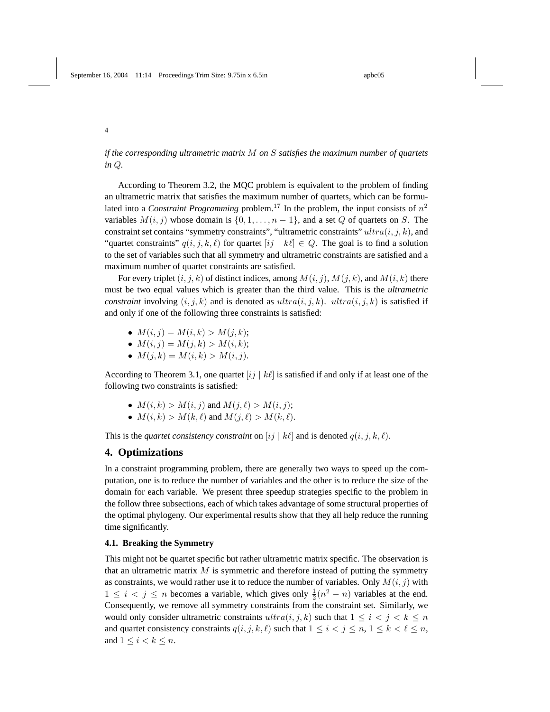*if the corresponding ultrametric matrix* M *on* S *satisfies the maximum number of quartets in* Q*.*

According to Theorem 3.2, the MQC problem is equivalent to the problem of finding an ultrametric matrix that satisfies the maximum number of quartets, which can be formulated into a *Constraint Programming* problem.<sup>17</sup> In the problem, the input consists of  $n^2$ variables  $M(i, j)$  whose domain is  $\{0, 1, \ldots, n - 1\}$ , and a set Q of quartets on S. The constraint set contains "symmetry constraints", "ultrametric constraints"  $ultra(i, j, k)$ , and "quartet constraints"  $q(i, j, k, \ell)$  for quartet  $[ij | k\ell] \in Q$ . The goal is to find a solution to the set of variables such that all symmetry and ultrametric constraints are satisfied and a maximum number of quartet constraints are satisfied.

For every triplet  $(i, j, k)$  of distinct indices, among  $M(i, j)$ ,  $M(j, k)$ , and  $M(i, k)$  there must be two equal values which is greater than the third value. This is the *ultrametric constraint* involving  $(i, j, k)$  and is denoted as  $ultra(i, j, k)$ .  $ultra(i, j, k)$  is satisfied if and only if one of the following three constraints is satisfied:

- $M(i, j) = M(i, k) > M(j, k);$
- $M(i, j) = M(j, k) > M(i, k);$
- $M(j,k) = M(i,k) > M(i,j).$

According to Theorem 3.1, one quartet  $[ij \mid k\ell]$  is satisfied if and only if at least one of the following two constraints is satisfied:

- $M(i,k) > M(i, j)$  and  $M(j, \ell) > M(i, j);$
- $M(i, k) > M(k, \ell)$  and  $M(j, \ell) > M(k, \ell)$ .

This is the *quartet consistency constraint* on  $[i] | k\ell|$  and is denoted  $q(i, j, k, \ell)$ .

### **4. Optimizations**

In a constraint programming problem, there are generally two ways to speed up the computation, one is to reduce the number of variables and the other is to reduce the size of the domain for each variable. We present three speedup strategies specific to the problem in the follow three subsections, each of which takes advantage of some structural properties of the optimal phylogeny. Our experimental results show that they all help reduce the running time significantly.

### **4.1. Breaking the Symmetry**

This might not be quartet specific but rather ultrametric matrix specific. The observation is that an ultrametric matrix  $M$  is symmetric and therefore instead of putting the symmetry as constraints, we would rather use it to reduce the number of variables. Only  $M(i, j)$  with  $1 \leq i \leq j \leq n$  becomes a variable, which gives only  $\frac{1}{2}(n^2 - n)$  variables at the end. Consequently, we remove all symmetry constraints from the constraint set. Similarly, we would only consider ultrametric constraints  $ultra(i, j, k)$  such that  $1 \leq i < j < k \leq n$ and quartet consistency constraints  $q(i, j, k, \ell)$  such that  $1 \leq i < j \leq n, 1 \leq k < \ell \leq n$ , and  $1 \leq i < k \leq n$ .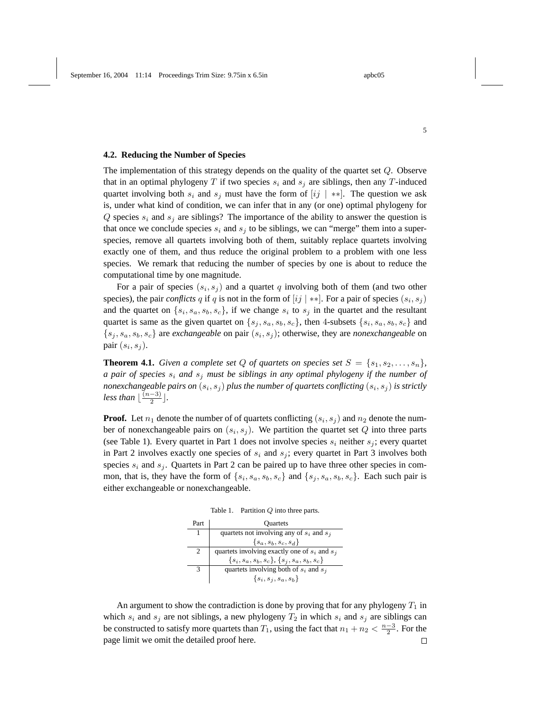#### **4.2. Reducing the Number of Species**

The implementation of this strategy depends on the quality of the quartet set Q. Observe that in an optimal phylogeny T if two species  $s_i$  and  $s_j$  are siblings, then any T-induced quartet involving both  $s_i$  and  $s_j$  must have the form of  $[ij \mid **]$ . The question we ask is, under what kind of condition, we can infer that in any (or one) optimal phylogeny for  $Q$  species  $s_i$  and  $s_j$  are siblings? The importance of the ability to answer the question is that once we conclude species  $s_i$  and  $s_j$  to be siblings, we can "merge" them into a superspecies, remove all quartets involving both of them, suitably replace quartets involving exactly one of them, and thus reduce the original problem to a problem with one less species. We remark that reducing the number of species by one is about to reduce the computational time by one magnitude.

For a pair of species  $(s_i, s_j)$  and a quartet q involving both of them (and two other species), the pair *conflicts* q if q is not in the form of  $[i]$  \*\*. For a pair of species  $(s_i, s_j)$ and the quartet on  $\{s_i, s_a, s_b, s_c\}$ , if we change  $s_i$  to  $s_j$  in the quartet and the resultant quartet is same as the given quartet on  $\{s_j, s_a, s_b, s_c\}$ , then 4-subsets  $\{s_i, s_a, s_b, s_c\}$  and  $\{s_j, s_a, s_b, s_c\}$  are *exchangeable* on pair  $(s_i, s_j)$ ; otherwise, they are *nonexchangeable* on pair  $(s_i, s_j)$ .

**Theorem 4.1.** *Given a complete set* Q *of quartets on species set*  $S = \{s_1, s_2, \ldots, s_n\}$ *, a pair of species*  $s_i$  *and*  $s_j$  *must be siblings in any optimal phylogeny if the number of* nonexchangeable pairs on  $(s_i, s_j)$  plus the number of quartets conflicting  $(s_i, s_j)$  is strictly *less than*  $\lfloor \frac{(n-3)}{2} \rfloor$  $\frac{-3)}{2}$ .

**Proof.** Let  $n_1$  denote the number of of quartets conflicting  $(s_i, s_j)$  and  $n_2$  denote the number of nonexchangeable pairs on  $(s_i, s_j)$ . We partition the quartet set Q into three parts (see Table 1). Every quartet in Part 1 does not involve species  $s_i$  neither  $s_i$ ; every quartet in Part 2 involves exactly one species of  $s_i$  and  $s_j$ ; every quartet in Part 3 involves both species  $s_i$  and  $s_j$ . Quartets in Part 2 can be paired up to have three other species in common, that is, they have the form of  $\{s_i, s_a, s_b, s_c\}$  and  $\{s_j, s_a, s_b, s_c\}$ . Each such pair is either exchangeable or nonexchangeable.



| Part | <b>Quartets</b>                                   |  |  |
|------|---------------------------------------------------|--|--|
|      | quartets not involving any of $s_i$ and $s_j$     |  |  |
|      | $\{s_{a}, s_{b}, s_{c}, s_{d}\}\$                 |  |  |
|      | quartets involving exactly one of $s_i$ and $s_j$ |  |  |
|      | ${si, sa, sb, sc}, {sj, sa, sb, sc}$              |  |  |
|      | quartets involving both of $s_i$ and $s_j$        |  |  |
|      | $\{s_i, s_j, s_a, s_b\}$                          |  |  |

An argument to show the contradiction is done by proving that for any phylogeny  $T_1$  in which  $s_i$  and  $s_j$  are not siblings, a new phylogeny  $T_2$  in which  $s_i$  and  $s_j$  are siblings can be constructed to satisfy more quartets than  $T_1$ , using the fact that  $n_1 + n_2 < \frac{n-3}{2}$ . For the page limit we omit the detailed proof here. $\Box$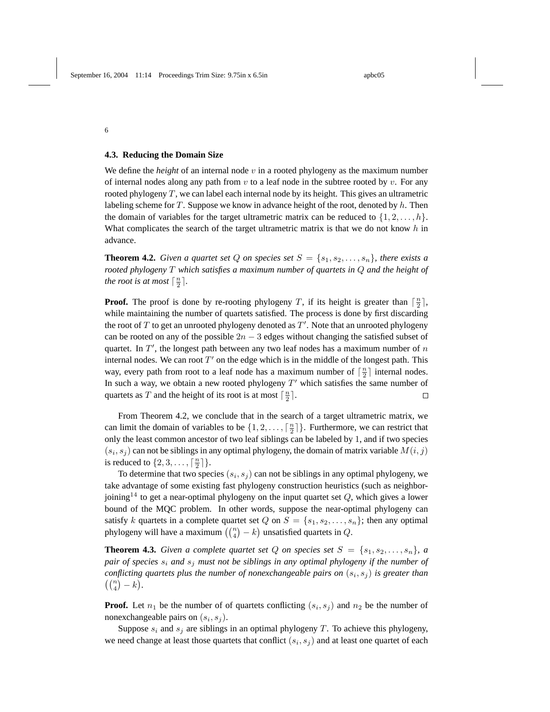### **4.3. Reducing the Domain Size**

6

We define the *height* of an internal node  $v$  in a rooted phylogeny as the maximum number of internal nodes along any path from  $v$  to a leaf node in the subtree rooted by  $v$ . For any rooted phylogeny  $T$ , we can label each internal node by its height. This gives an ultrametric labeling scheme for  $T$ . Suppose we know in advance height of the root, denoted by  $h$ . Then the domain of variables for the target ultrametric matrix can be reduced to  $\{1, 2, \ldots, h\}$ . What complicates the search of the target ultrametric matrix is that we do not know  $h$  in advance.

**Theorem 4.2.** *Given a quartet set* Q *on species set*  $S = \{s_1, s_2, \ldots, s_n\}$ *, there exists a rooted phylogeny* T *which satisfies a maximum number of quartets in* Q *and the height of the root is at most*  $\lceil \frac{n}{2} \rceil$ *.* 

**Proof.** The proof is done by re-rooting phylogeny T, if its height is greater than  $\lceil \frac{n}{2} \rceil$ , while maintaining the number of quartets satisfied. The process is done by first discarding the root of  $T$  to get an unrooted phylogeny denoted as  $T'$ . Note that an unrooted phylogeny can be rooted on any of the possible  $2n - 3$  edges without changing the satisfied subset of quartet. In  $T'$ , the longest path between any two leaf nodes has a maximum number of  $n$ internal nodes. We can root  $T'$  on the edge which is in the middle of the longest path. This way, every path from root to a leaf node has a maximum number of  $\lceil \frac{n}{2} \rceil$  internal nodes. In such a way, we obtain a new rooted phylogeny  $T'$  which satisfies the same number of quartets as T and the height of its root is at most  $\lceil \frac{n}{2} \rceil$ .  $\Box$ 

From Theorem 4.2, we conclude that in the search of a target ultrametric matrix, we can limit the domain of variables to be  $\{1, 2, ..., \lceil \frac{n}{2} \rceil\}$ . Furthermore, we can restrict that only the least common ancestor of two leaf siblings can be labeled by 1, and if two species  $(s_i, s_j)$  can not be siblings in any optimal phylogeny, the domain of matrix variable  $M(i, j)$ is reduced to  $\{2, 3, \ldots, \lceil \frac{n}{2} \rceil\}.$ 

To determine that two species  $(s_i, s_j)$  can not be siblings in any optimal phylogeny, we take advantage of some existing fast phylogeny construction heuristics (such as neighborjoining<sup>14</sup> to get a near-optimal phylogeny on the input quartet set  $Q$ , which gives a lower bound of the MQC problem. In other words, suppose the near-optimal phylogeny can satisfy k quartets in a complete quartet set Q on  $S = \{s_1, s_2, \ldots, s_n\}$ ; then any optimal satisfy  $\kappa$  quartets in a complete quartet set  $Q$  on  $S = \{s_1, s_2, \dots, s_n\}$ <br>phylogeny will have a maximum  $\binom{n}{4} - k$  unsatisfied quartets in  $Q$ .

**Theorem 4.3.** *Given a complete quartet set* Q *on species set*  $S = \{s_1, s_2, \ldots, s_n\}$ *, a pair of species*  $s_i$  *and*  $s_j$  *must not be siblings in any optimal phylogeny if the number of conflicting quartets plus the number of nonexchangeable pairs on*  $(s_i, s_j)$  *is greater than*  $\binom{n}{4} - k$ .

**Proof.** Let  $n_1$  be the number of of quartets conflicting  $(s_i, s_j)$  and  $n_2$  be the number of nonexchangeable pairs on  $(s_i, s_j)$ .

Suppose  $s_i$  and  $s_j$  are siblings in an optimal phylogeny  $T$ . To achieve this phylogeny, we need change at least those quartets that conflict  $(s_i, s_j)$  and at least one quartet of each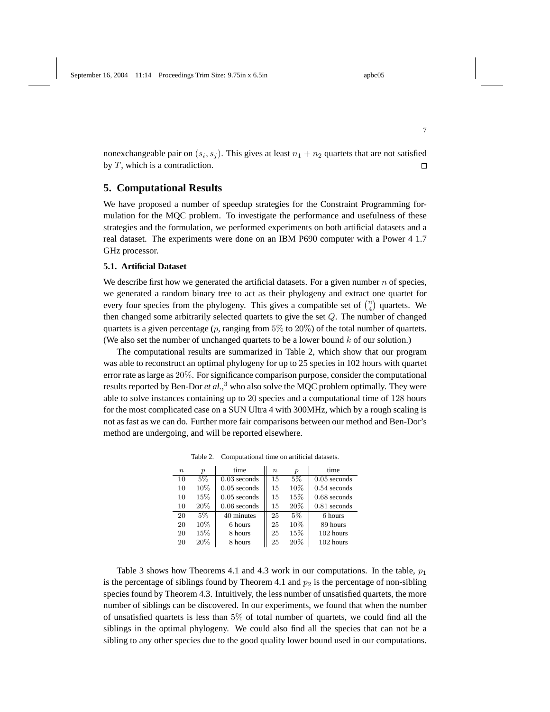nonexchangeable pair on  $(s_i, s_j)$ . This gives at least  $n_1 + n_2$  quartets that are not satisfied by  $T$ , which is a contradiction.  $\Box$ 

## **5. Computational Results**

We have proposed a number of speedup strategies for the Constraint Programming formulation for the MQC problem. To investigate the performance and usefulness of these strategies and the formulation, we performed experiments on both artificial datasets and a real dataset. The experiments were done on an IBM P690 computer with a Power 4 1.7 GHz processor.

### **5.1. Artificial Dataset**

We describe first how we generated the artificial datasets. For a given number  $n$  of species, we generated a random binary tree to act as their phylogeny and extract one quartet for we generated a random binary tree to act as their phylogeny and extract one quartet for every four species from the phylogeny. This gives a compatible set of  $\binom{n}{4}$  quartets. We then changed some arbitrarily selected quartets to give the set Q. The number of changed quartets is a given percentage (p, ranging from  $5\%$  to  $20\%$ ) of the total number of quartets. (We also set the number of unchanged quartets to be a lower bound  $k$  of our solution.)

The computational results are summarized in Table 2, which show that our program was able to reconstruct an optimal phylogeny for up to 25 species in 102 hours with quartet error rate as large as 20%. For significance comparison purpose, consider the computational results reported by Ben-Dor *et al.*, <sup>3</sup> who also solve the MQC problem optimally. They were able to solve instances containing up to 20 species and a computational time of 128 hours for the most complicated case on a SUN Ultra 4 with 300MHz, which by a rough scaling is not as fast as we can do. Further more fair comparisons between our method and Ben-Dor's method are undergoing, and will be reported elsewhere.

| $\, n$ | $\boldsymbol{p}$ | time           | $\boldsymbol{n}$ | $\boldsymbol{p}$ | time           |
|--------|------------------|----------------|------------------|------------------|----------------|
| 10     | $5\%$            | $0.03$ seconds | 15               | 5%               | $0.05$ seconds |
| 10     | 10%              | $0.05$ seconds | 15               | 10%              | $0.54$ seconds |
| 10     | 15%              | $0.05$ seconds | 15               | 15%              | $0.68$ seconds |
| 10     | 20%              | $0.06$ seconds | 15               | 20%              | $0.81$ seconds |
| 20     | 5%               | 40 minutes     | 25               | 5%               | 6 hours        |
| 20     | 10\%             | 6 hours        | 25               | 10%              | 89 hours       |
| 20     | 15%              | 8 hours        | 25               | 15%              | 102 hours      |
| 20     | 20%              | 8 hours        | 25               | 20%              | 102 hours      |

Table 2. Computational time on artificial datasets.

Table 3 shows how Theorems 4.1 and 4.3 work in our computations. In the table,  $p_1$ is the percentage of siblings found by Theorem 4.1 and  $p_2$  is the percentage of non-sibling species found by Theorem 4.3. Intuitively, the less number of unsatisfied quartets, the more number of siblings can be discovered. In our experiments, we found that when the number of unsatisfied quartets is less than 5% of total number of quartets, we could find all the siblings in the optimal phylogeny. We could also find all the species that can not be a sibling to any other species due to the good quality lower bound used in our computations.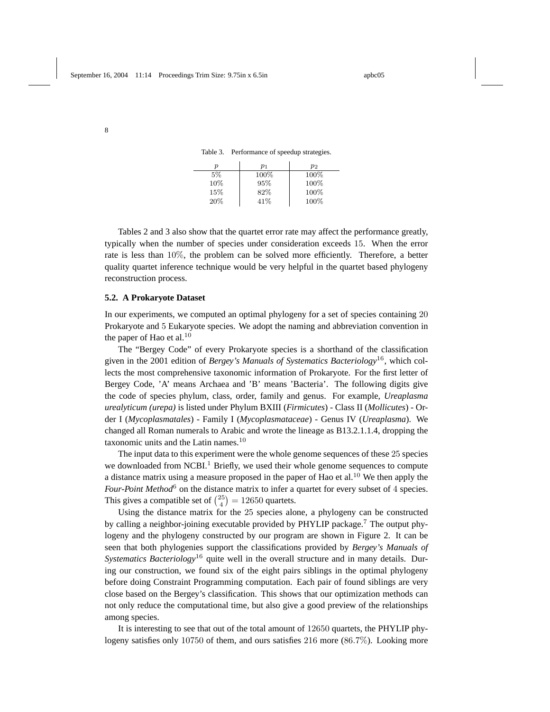Table 3. Performance of speedup strategies.

| п   | $p_1$ | $p_2$   |
|-----|-------|---------|
| 5%  | 100%  | $100\%$ |
| 10% | 95%   | 100%    |
| 15% | 82%   | 100%    |
| 20% | 41\%  | 100%    |

Tables 2 and 3 also show that the quartet error rate may affect the performance greatly, typically when the number of species under consideration exceeds 15. When the error rate is less than 10%, the problem can be solved more efficiently. Therefore, a better quality quartet inference technique would be very helpful in the quartet based phylogeny reconstruction process.

#### **5.2. A Prokaryote Dataset**

In our experiments, we computed an optimal phylogeny for a set of species containing 20 Prokaryote and 5 Eukaryote species. We adopt the naming and abbreviation convention in the paper of Hao et al. $10$ 

The "Bergey Code" of every Prokaryote species is a shorthand of the classification given in the 2001 edition of *Bergey's Manuals of Systematics Bacteriology*<sup>16</sup>, which collects the most comprehensive taxonomic information of Prokaryote. For the first letter of Bergey Code, 'A' means Archaea and 'B' means 'Bacteria'. The following digits give the code of species phylum, class, order, family and genus. For example, *Ureaplasma urealyticum (urepa)* is listed under Phylum BXIII (*Firmicutes*) - Class II (*Mollicutes*) - Order I (*Mycoplasmatales*) - Family I (*Mycoplasmataceae*) - Genus IV (*Ureaplasma*). We changed all Roman numerals to Arabic and wrote the lineage as B13.2.1.1.4, dropping the taxonomic units and the Latin names.<sup>10</sup>

The input data to this experiment were the whole genome sequences of these 25 species we downloaded from NCBI.<sup>1</sup> Briefly, we used their whole genome sequences to compute a distance matrix using a measure proposed in the paper of Hao et al.<sup>10</sup> We then apply the *Four-Point Method*<sup>6</sup> on the distance matrix to infer a quartet for every subset of 4 species. Four-Four memod on the ustance matrix to liner a<br>This gives a compatible set of  $\binom{25}{4} = 12650$  quartets.

Using the distance matrix for the 25 species alone, a phylogeny can be constructed by calling a neighbor-joining executable provided by PHYLIP package.<sup>7</sup> The output phylogeny and the phylogeny constructed by our program are shown in Figure 2. It can be seen that both phylogenies support the classifications provided by *Bergey's Manuals of Systematics Bacteriology*<sup>16</sup> quite well in the overall structure and in many details. During our construction, we found six of the eight pairs siblings in the optimal phylogeny before doing Constraint Programming computation. Each pair of found siblings are very close based on the Bergey's classification. This shows that our optimization methods can not only reduce the computational time, but also give a good preview of the relationships among species.

It is interesting to see that out of the total amount of 12650 quartets, the PHYLIP phylogeny satisfies only 10750 of them, and ours satisfies 216 more (86.7%). Looking more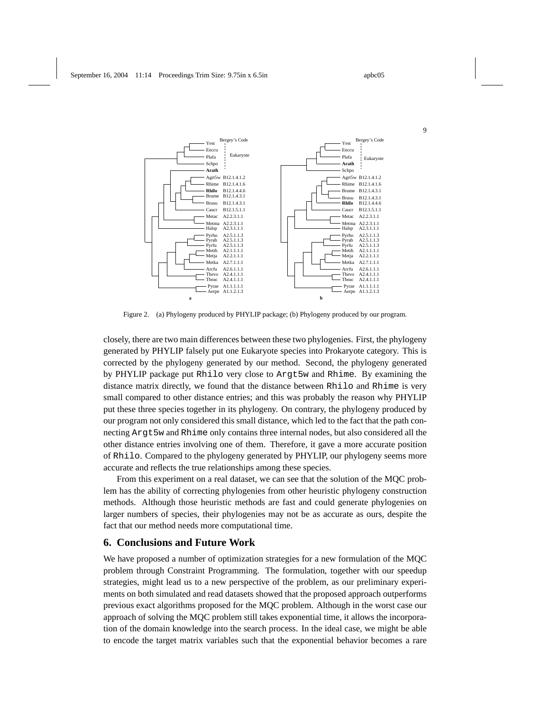

Figure 2. (a) Phylogeny produced by PHYLIP package; (b) Phylogeny produced by our program.

closely, there are two main differences between these two phylogenies. First, the phylogeny generated by PHYLIP falsely put one Eukaryote species into Prokaryote category. This is corrected by the phylogeny generated by our method. Second, the phylogeny generated by PHYLIP package put Rhilo very close to Argt5w and Rhime. By examining the distance matrix directly, we found that the distance between Rhilo and Rhime is very small compared to other distance entries; and this was probably the reason why PHYLIP put these three species together in its phylogeny. On contrary, the phylogeny produced by our program not only considered this small distance, which led to the fact that the path connecting Argt5w and Rhime only contains three internal nodes, but also considered all the other distance entries involving one of them. Therefore, it gave a more accurate position of Rhilo. Compared to the phylogeny generated by PHYLIP, our phylogeny seems more accurate and reflects the true relationships among these species.

From this experiment on a real dataset, we can see that the solution of the MQC problem has the ability of correcting phylogenies from other heuristic phylogeny construction methods. Although those heuristic methods are fast and could generate phylogenies on larger numbers of species, their phylogenies may not be as accurate as ours, despite the fact that our method needs more computational time.

# **6. Conclusions and Future Work**

We have proposed a number of optimization strategies for a new formulation of the MQC problem through Constraint Programming. The formulation, together with our speedup strategies, might lead us to a new perspective of the problem, as our preliminary experiments on both simulated and read datasets showed that the proposed approach outperforms previous exact algorithms proposed for the MQC problem. Although in the worst case our approach of solving the MQC problem still takes exponential time, it allows the incorporation of the domain knowledge into the search process. In the ideal case, we might be able to encode the target matrix variables such that the exponential behavior becomes a rare

9